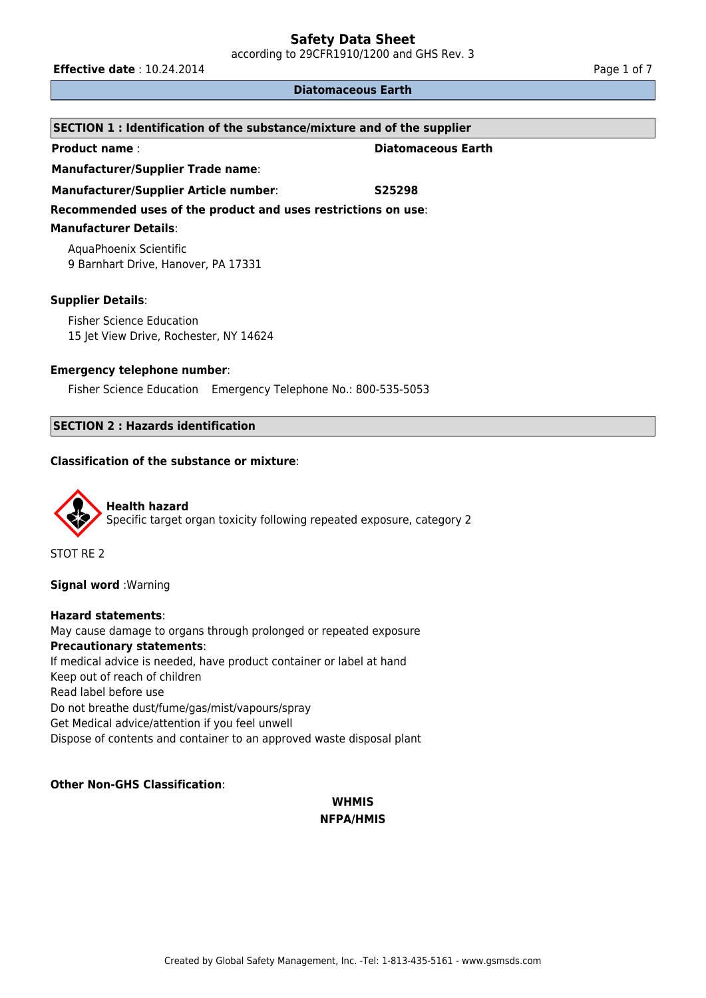according to 29CFR1910/1200 and GHS Rev. 3

**Effective date** : 10.24.2014 **Page 1 of 7 Page 1 of 7** 

### **Diatomaceous Earth**

| SECTION 1 : Identification of the substance/mixture and of the supplier                                                                                        |                           |  |  |  |
|----------------------------------------------------------------------------------------------------------------------------------------------------------------|---------------------------|--|--|--|
| <b>Product name:</b>                                                                                                                                           | <b>Diatomaceous Earth</b> |  |  |  |
| <b>Manufacturer/Supplier Trade name:</b>                                                                                                                       |                           |  |  |  |
| <b>Manufacturer/Supplier Article number:</b>                                                                                                                   | S <sub>25298</sub>        |  |  |  |
| Recommended uses of the product and uses restrictions on use:<br><b>Manufacturer Details:</b><br>AquaPhoenix Scientific<br>9 Barnhart Drive, Hanover, PA 17331 |                           |  |  |  |
| <b>Supplier Details:</b><br><b>Fisher Science Education</b><br>15 Jet View Drive, Rochester, NY 14624                                                          |                           |  |  |  |

# **Emergency telephone number**:

Fisher Science Education Emergency Telephone No.: 800-535-5053

# **SECTION 2 : Hazards identification**

### **Classification of the substance or mixture**:



STOT RE 2

### **Signal word** :Warning

**Hazard statements**: May cause damage to organs through prolonged or repeated exposure **Precautionary statements**: If medical advice is needed, have product container or label at hand Keep out of reach of children Read label before use Do not breathe dust/fume/gas/mist/vapours/spray Get Medical advice/attention if you feel unwell Dispose of contents and container to an approved waste disposal plant

# **Other Non-GHS Classification**:

# **WHMIS NFPA/HMIS**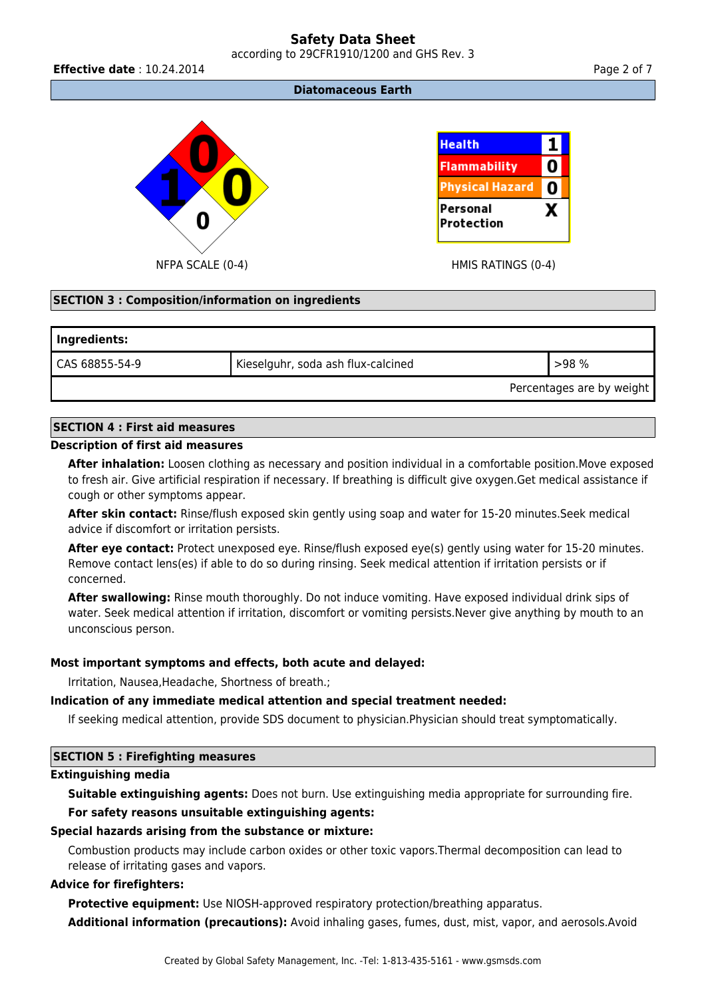# **Safety Data Sheet** according to 29CFR1910/1200 and GHS Rev. 3

**Effective date** : 10.24.2014 **Page 2 of 7 Page 2 of 7** 

**Diatomaceous Earth**



### **SECTION 3 : Composition/information on ingredients**

| Ingredients:   |                                    |                           |  |
|----------------|------------------------------------|---------------------------|--|
| CAS 68855-54-9 | Kieselguhr, soda ash flux-calcined | >98%                      |  |
|                |                                    | Percentages are by weight |  |

### **SECTION 4 : First aid measures**

### **Description of first aid measures**

**After inhalation:** Loosen clothing as necessary and position individual in a comfortable position.Move exposed to fresh air. Give artificial respiration if necessary. If breathing is difficult give oxygen.Get medical assistance if cough or other symptoms appear.

**After skin contact:** Rinse/flush exposed skin gently using soap and water for 15-20 minutes.Seek medical advice if discomfort or irritation persists.

**After eye contact:** Protect unexposed eye. Rinse/flush exposed eye(s) gently using water for 15-20 minutes. Remove contact lens(es) if able to do so during rinsing. Seek medical attention if irritation persists or if concerned.

**After swallowing:** Rinse mouth thoroughly. Do not induce vomiting. Have exposed individual drink sips of water. Seek medical attention if irritation, discomfort or vomiting persists.Never give anything by mouth to an unconscious person.

### **Most important symptoms and effects, both acute and delayed:**

Irritation, Nausea,Headache, Shortness of breath.;

### **Indication of any immediate medical attention and special treatment needed:**

If seeking medical attention, provide SDS document to physician.Physician should treat symptomatically.

### **SECTION 5 : Firefighting measures**

### **Extinguishing media**

**Suitable extinguishing agents:** Does not burn. Use extinguishing media appropriate for surrounding fire.

# **For safety reasons unsuitable extinguishing agents:**

### **Special hazards arising from the substance or mixture:**

Combustion products may include carbon oxides or other toxic vapors.Thermal decomposition can lead to release of irritating gases and vapors.

### **Advice for firefighters:**

**Protective equipment:** Use NIOSH-approved respiratory protection/breathing apparatus. **Additional information (precautions):** Avoid inhaling gases, fumes, dust, mist, vapor, and aerosols.Avoid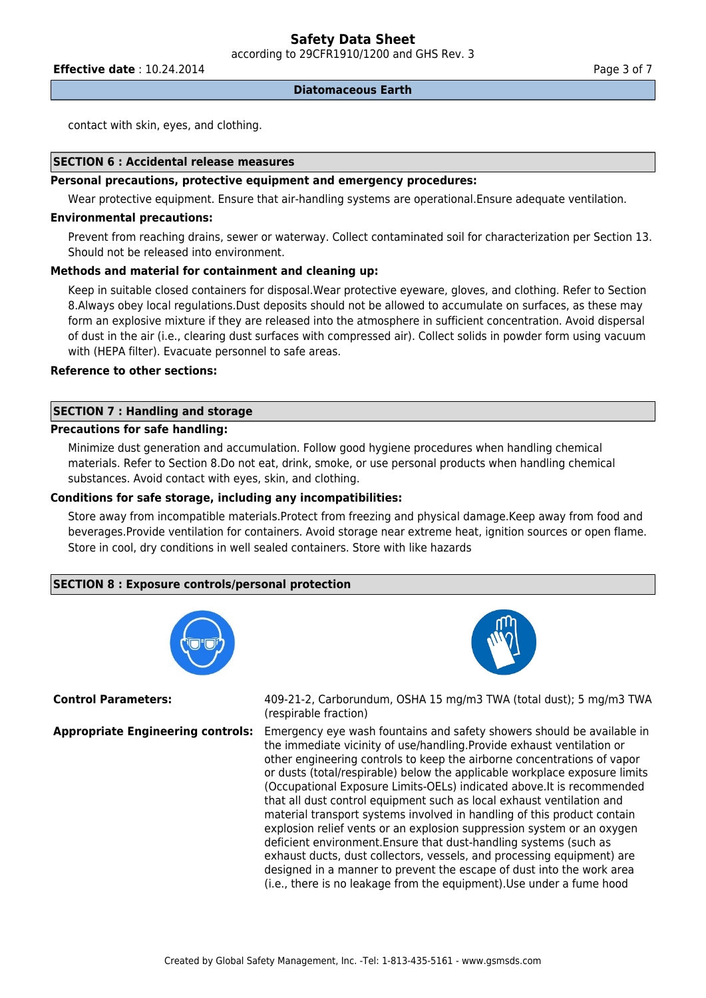according to 29CFR1910/1200 and GHS Rev. 3

**Effective date** : 10.24.2014 **Page 3 of 7 Page 3 of 7** 

**Diatomaceous Earth**

contact with skin, eyes, and clothing.

### **SECTION 6 : Accidental release measures**

### **Personal precautions, protective equipment and emergency procedures:**

Wear protective equipment. Ensure that air-handling systems are operational.Ensure adequate ventilation.

### **Environmental precautions:**

Prevent from reaching drains, sewer or waterway. Collect contaminated soil for characterization per Section 13. Should not be released into environment.

### **Methods and material for containment and cleaning up:**

Keep in suitable closed containers for disposal.Wear protective eyeware, gloves, and clothing. Refer to Section 8.Always obey local regulations.Dust deposits should not be allowed to accumulate on surfaces, as these may form an explosive mixture if they are released into the atmosphere in sufficient concentration. Avoid dispersal of dust in the air (i.e., clearing dust surfaces with compressed air). Collect solids in powder form using vacuum with (HEPA filter). Evacuate personnel to safe areas.

# **Reference to other sections:**

# **SECTION 7 : Handling and storage**

# **Precautions for safe handling:**

Minimize dust generation and accumulation. Follow good hygiene procedures when handling chemical materials. Refer to Section 8.Do not eat, drink, smoke, or use personal products when handling chemical substances. Avoid contact with eyes, skin, and clothing.

### **Conditions for safe storage, including any incompatibilities:**

Store away from incompatible materials.Protect from freezing and physical damage.Keep away from food and beverages.Provide ventilation for containers. Avoid storage near extreme heat, ignition sources or open flame. Store in cool, dry conditions in well sealed containers. Store with like hazards

### **SECTION 8 : Exposure controls/personal protection**





**Control Parameters:** 409-21-2, Carborundum, OSHA 15 mg/m3 TWA (total dust); 5 mg/m3 TWA (respirable fraction)

**Appropriate Engineering controls:** Emergency eye wash fountains and safety showers should be available in the immediate vicinity of use/handling.Provide exhaust ventilation or other engineering controls to keep the airborne concentrations of vapor or dusts (total/respirable) below the applicable workplace exposure limits (Occupational Exposure Limits-OELs) indicated above.It is recommended that all dust control equipment such as local exhaust ventilation and material transport systems involved in handling of this product contain explosion relief vents or an explosion suppression system or an oxygen deficient environment.Ensure that dust-handling systems (such as exhaust ducts, dust collectors, vessels, and processing equipment) are designed in a manner to prevent the escape of dust into the work area (i.e., there is no leakage from the equipment).Use under a fume hood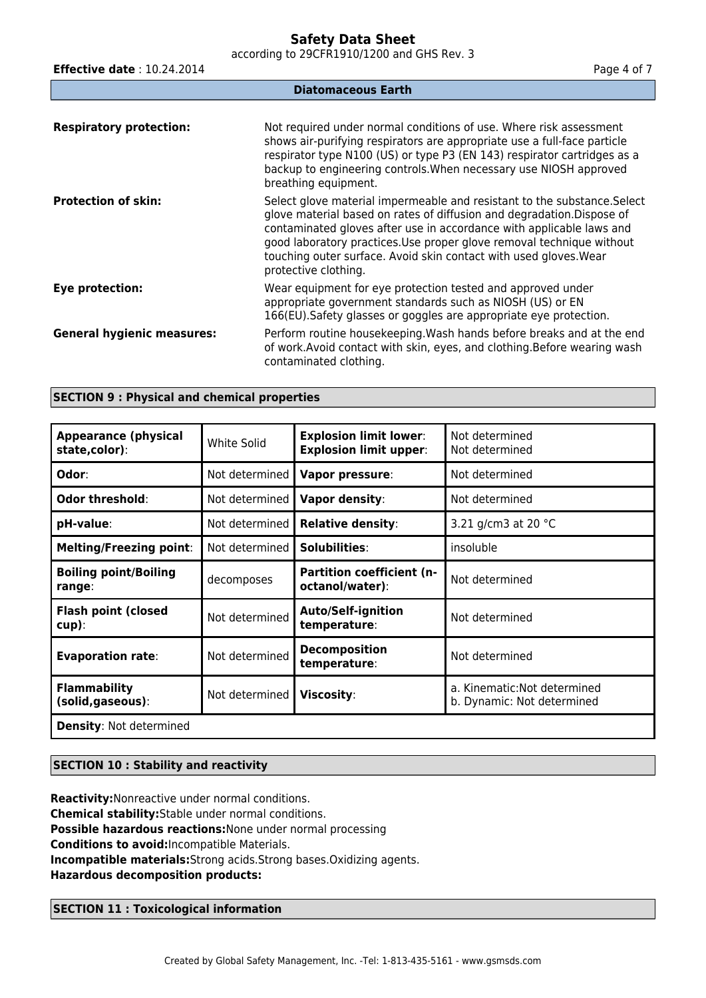according to 29CFR1910/1200 and GHS Rev. 3

| <b>Effective date: 10.24.2014</b> | Page 4 of 7                                                                                                                                                                                                                                                                                                                                                                                      |  |  |  |  |
|-----------------------------------|--------------------------------------------------------------------------------------------------------------------------------------------------------------------------------------------------------------------------------------------------------------------------------------------------------------------------------------------------------------------------------------------------|--|--|--|--|
| <b>Diatomaceous Earth</b>         |                                                                                                                                                                                                                                                                                                                                                                                                  |  |  |  |  |
| <b>Respiratory protection:</b>    | Not required under normal conditions of use. Where risk assessment<br>shows air-purifying respirators are appropriate use a full-face particle<br>respirator type N100 (US) or type P3 (EN 143) respirator cartridges as a<br>backup to engineering controls. When necessary use NIOSH approved<br>breathing equipment.                                                                          |  |  |  |  |
| <b>Protection of skin:</b>        | Select glove material impermeable and resistant to the substance. Select<br>glove material based on rates of diffusion and degradation. Dispose of<br>contaminated gloves after use in accordance with applicable laws and<br>good laboratory practices. Use proper glove removal technique without<br>touching outer surface. Avoid skin contact with used gloves. Wear<br>protective clothing. |  |  |  |  |
| Eye protection:                   | Wear equipment for eye protection tested and approved under<br>appropriate government standards such as NIOSH (US) or EN<br>166(EU). Safety glasses or goggles are appropriate eye protection.                                                                                                                                                                                                   |  |  |  |  |
| <b>General hygienic measures:</b> | Perform routine housekeeping. Wash hands before breaks and at the end<br>of work. Avoid contact with skin, eyes, and clothing. Before wearing wash<br>contaminated clothing.                                                                                                                                                                                                                     |  |  |  |  |

### **SECTION 9 : Physical and chemical properties**

| <b>Appearance (physical</b><br>state,color): | White Solid    | <b>Explosion limit lower:</b><br><b>Explosion limit upper:</b> | Not determined<br>Not determined                           |
|----------------------------------------------|----------------|----------------------------------------------------------------|------------------------------------------------------------|
| Odor:                                        | Not determined | Vapor pressure:                                                | Not determined                                             |
| Odor threshold:                              | Not determined | Vapor density:                                                 | Not determined                                             |
| pH-value:                                    | Not determined | <b>Relative density:</b>                                       | 3.21 g/cm3 at 20 °C                                        |
| <b>Melting/Freezing point:</b>               | Not determined | Solubilities:                                                  | insoluble                                                  |
| <b>Boiling point/Boiling</b><br>range:       | decomposes     | <b>Partition coefficient (n-</b><br>octanol/water):            | Not determined                                             |
| <b>Flash point (closed</b><br>cup):          | Not determined | <b>Auto/Self-ignition</b><br>temperature:                      | Not determined                                             |
| <b>Evaporation rate:</b>                     | Not determined | <b>Decomposition</b><br>temperature:                           | Not determined                                             |
| <b>Flammability</b><br>(solid,gaseous):      | Not determined | Viscosity:                                                     | a. Kinematic: Not determined<br>b. Dynamic: Not determined |
| <b>Density: Not determined</b>               |                |                                                                |                                                            |

### **SECTION 10 : Stability and reactivity**

**Reactivity:**Nonreactive under normal conditions. **Chemical stability:**Stable under normal conditions. **Possible hazardous reactions:**None under normal processing **Conditions to avoid:**Incompatible Materials. **Incompatible materials:**Strong acids.Strong bases.Oxidizing agents. **Hazardous decomposition products:**

### **SECTION 11 : Toxicological information**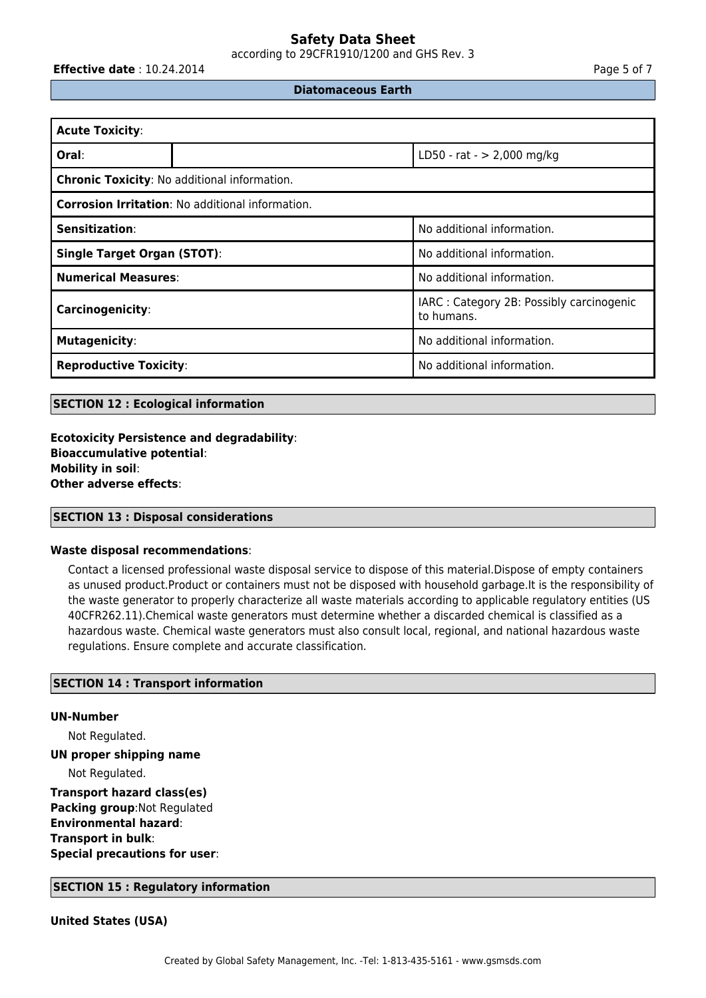according to 29CFR1910/1200 and GHS Rev. 3

**Effective date** : 10.24.2014 **Page 5 of 7 Page 5 of 7** 

**Diatomaceous Earth**

| <b>Acute Toxicity:</b>                                  |  |                                                        |  |
|---------------------------------------------------------|--|--------------------------------------------------------|--|
| Oral:                                                   |  | LD50 - rat - $> 2,000$ mg/kg                           |  |
| Chronic Toxicity: No additional information.            |  |                                                        |  |
| <b>Corrosion Irritation: No additional information.</b> |  |                                                        |  |
| <b>Sensitization:</b>                                   |  | No additional information.                             |  |
| <b>Single Target Organ (STOT):</b>                      |  | No additional information.                             |  |
| <b>Numerical Measures:</b>                              |  | No additional information.                             |  |
| Carcinogenicity:                                        |  | IARC: Category 2B: Possibly carcinogenic<br>to humans. |  |
| <b>Mutagenicity:</b>                                    |  | No additional information.                             |  |
| <b>Reproductive Toxicity:</b>                           |  | No additional information.                             |  |

# **SECTION 12 : Ecological information**

**Ecotoxicity Persistence and degradability**: **Bioaccumulative potential**: **Mobility in soil**: **Other adverse effects**:

### **SECTION 13 : Disposal considerations**

# **Waste disposal recommendations**:

Contact a licensed professional waste disposal service to dispose of this material.Dispose of empty containers as unused product.Product or containers must not be disposed with household garbage.It is the responsibility of the waste generator to properly characterize all waste materials according to applicable regulatory entities (US 40CFR262.11).Chemical waste generators must determine whether a discarded chemical is classified as a hazardous waste. Chemical waste generators must also consult local, regional, and national hazardous waste regulations. Ensure complete and accurate classification.

# **SECTION 14 : Transport information**

# **UN-Number**

Not Regulated. **UN proper shipping name** Not Regulated. **Transport hazard class(es) Packing group**:Not Regulated **Environmental hazard**: **Transport in bulk**: **Special precautions for user**:

### **SECTION 15 : Regulatory information**

**United States (USA)**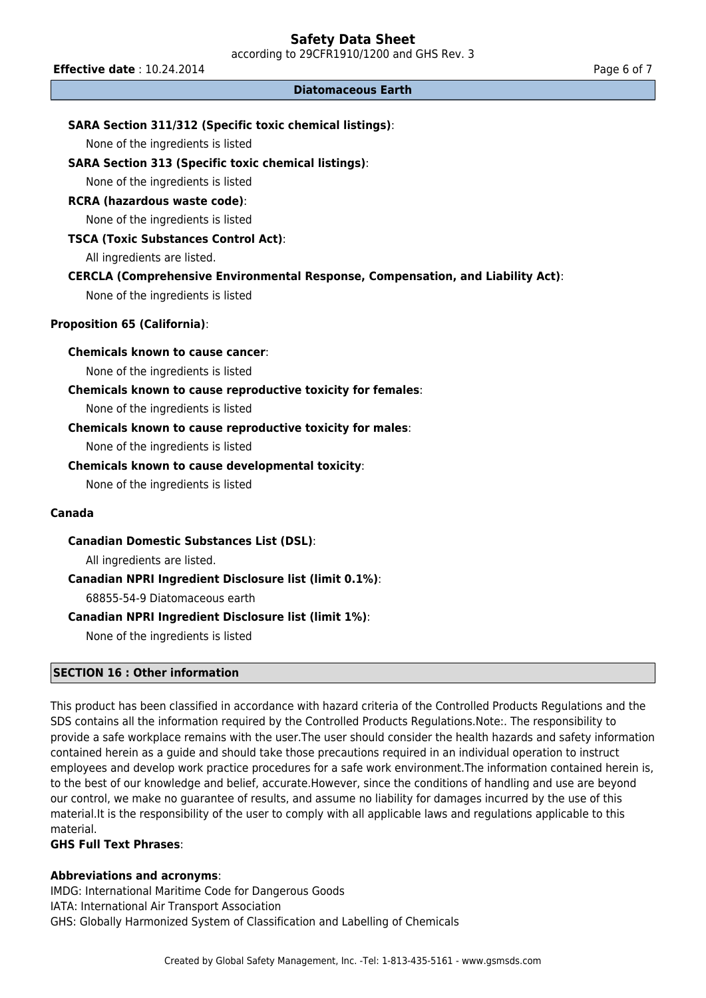according to 29CFR1910/1200 and GHS Rev. 3

**Effective date** : 10.24.2014 **Page 6 of 7 Page 6 of 7** 

### **Diatomaceous Earth**

# **SARA Section 311/312 (Specific toxic chemical listings)**:

None of the ingredients is listed

### **SARA Section 313 (Specific toxic chemical listings)**:

None of the ingredients is listed

### **RCRA (hazardous waste code)**:

None of the ingredients is listed

# **TSCA (Toxic Substances Control Act)**:

All ingredients are listed.

# **CERCLA (Comprehensive Environmental Response, Compensation, and Liability Act)**:

None of the ingredients is listed

# **Proposition 65 (California)**:

### **Chemicals known to cause cancer**:

None of the ingredients is listed

# **Chemicals known to cause reproductive toxicity for females**:

None of the ingredients is listed

# **Chemicals known to cause reproductive toxicity for males**:

None of the ingredients is listed

### **Chemicals known to cause developmental toxicity**:

None of the ingredients is listed

# **Canada**

**Canadian Domestic Substances List (DSL)**:

All ingredients are listed.

# **Canadian NPRI Ingredient Disclosure list (limit 0.1%)**:

68855-54-9 Diatomaceous earth

# **Canadian NPRI Ingredient Disclosure list (limit 1%)**:

None of the ingredients is listed

# **SECTION 16 : Other information**

This product has been classified in accordance with hazard criteria of the Controlled Products Regulations and the SDS contains all the information required by the Controlled Products Regulations.Note:. The responsibility to provide a safe workplace remains with the user.The user should consider the health hazards and safety information contained herein as a guide and should take those precautions required in an individual operation to instruct employees and develop work practice procedures for a safe work environment.The information contained herein is, to the best of our knowledge and belief, accurate.However, since the conditions of handling and use are beyond our control, we make no guarantee of results, and assume no liability for damages incurred by the use of this material.It is the responsibility of the user to comply with all applicable laws and regulations applicable to this material.

### **GHS Full Text Phrases**:

### **Abbreviations and acronyms**:

IMDG: International Maritime Code for Dangerous Goods IATA: International Air Transport Association GHS: Globally Harmonized System of Classification and Labelling of Chemicals